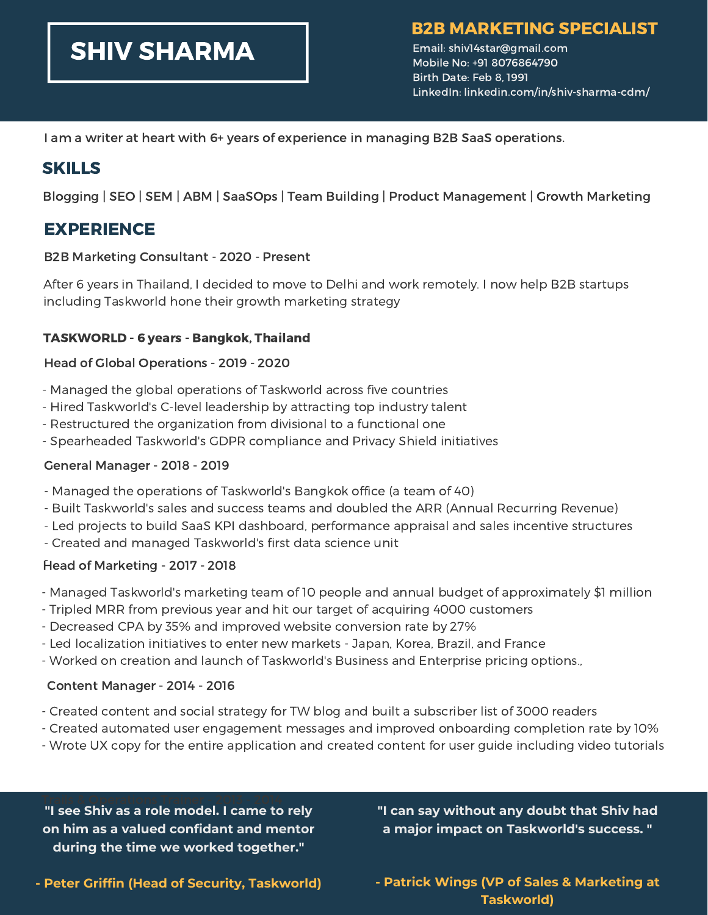# SHIV SHARMA

## B2B MARKETING SPECIALIST

Email: shiv14star@gmail.com Mobile No: +91 8076864790 Birth Date: Feb 8, 1991 LinkedIn: linkedin.com/in/shiv-sharma-cdm/

I am a writer at heart with 6+ years of experience in managing B2B SaaS operations.

## SKILLS

Blogging | SEO | SEM | ABM | SaaSOps | Team Building | Product Management | Growth Marketing

## EXPERIENCE

#### B2B Marketing Consultant - 2020 - Present

After 6 years in Thailand, I decided to move to Delhi and work remotely. I now help B2B startups including Taskworld hone their growth marketing strategy

## TASKWORLD - 6 years - Bangkok, Thailand

## Head of Global Operations - 2019 - 2020

- Managed the global operations of Taskworld across five countries
- Hired Taskworld's C-level leadership by attracting top industry talent
- Restructured the organization from divisional to a functional one
- Spearheaded Taskworld's GDPR compliance and Privacy Shield initiatives

#### General Manager - 2018 - 2019

- Managed the operations of Taskworld's Bangkok office (a team of 40)
- Built Taskworld's sales and success teams and doubled the ARR (Annual Recurring Revenue)
- Led projects to build SaaS KPI dashboard, performance appraisal and sales incentive structures
- Created and managed Taskworld's first data science unit

## -Head of Marketing - <sup>2017</sup> - <sup>2018</sup>

- Managed Taskworld's marketing team of 10 people and annual budget of approximately \$1 million
- Tripled MRR from previous year and hit our target of acquiring 4000 customers
- Decreased CPA by 35% and improved website conversion rate by 27%
- Led localization initiatives to enter new markets Japan, Korea, Brazil, and France
- Worked on creation and launch of Taskworld's Business and Enterprise pricing options.,

## Content Manager - 2014 - 2016

- Created content and social strategy for TW blog and built a subscriber list of 3000 readers
- Created automated user engagement messages and improved onboarding completion rate by 10%
- Wrote UX copy for the entire application and created content for user guide including video tutorials

**"I see Shiv as a role model. I came to rely on him as a valued confidant and mentor during the time we worked together."**

**"I can say without any doubt that Shiv had a major impact on Taskworld's success. "**

**- Peter Griffin (Head of Security, Taskworld)**

**- Patrick Wings (VP of Sales & Marketing at Taskworld)**